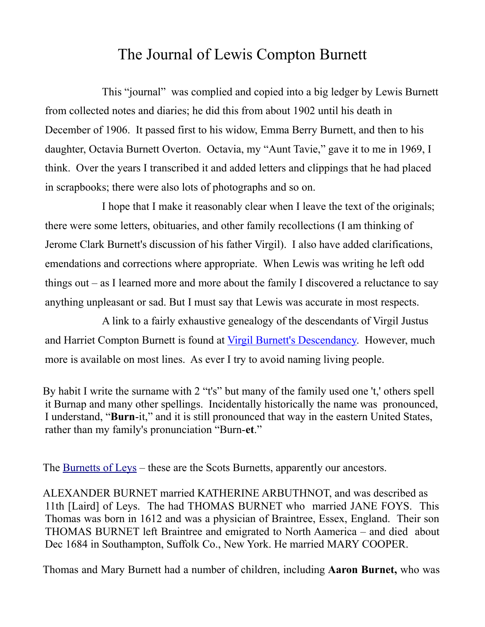## The Journal of Lewis Compton Burnett

This "journal" was complied and copied into a big ledger by Lewis Burnett from collected notes and diaries; he did this from about 1902 until his death in December of 1906. It passed first to his widow, Emma Berry Burnett, and then to his daughter, Octavia Burnett Overton. Octavia, my "Aunt Tavie," gave it to me in 1969, I think. Over the years I transcribed it and added letters and clippings that he had placed in scrapbooks; there were also lots of photographs and so on.

I hope that I make it reasonably clear when I leave the text of the originals; there were some letters, obituaries, and other family recollections (I am thinking of Jerome Clark Burnett's discussion of his father Virgil). I also have added clarifications, emendations and corrections where appropriate. When Lewis was writing he left odd things out – as I learned more and more about the family I discovered a reluctance to say anything unpleasant or sad. But I must say that Lewis was accurate in most respects.

A link to a fairly exhaustive genealogy of the descendants of Virgil Justus and Harriet Compton Burnett is found at [Virgil Burnett's Descendancy.](http://ourfamilyhistoryblog.files.wordpress.com/2012/09/burnett-virgil-justus-descendant-report.pdf) However, much more is available on most lines. As ever I try to avoid naming living people.

By habit I write the surname with 2 "t's" but many of the family used one 't,' others spell it Burnap and many other spellings. Incidentally historically the name was pronounced, I understand, "**Burn**-it," and it is still pronounced that way in the eastern United States, rather than my family's pronunciation "Burn-**et**."

The [Burnetts of Leys](http://freepages.genealogy.rootsweb.ancestry.com/~tlosborne/Burnett/Burnetthistory/introduction.htm) – these are the Scots Burnetts, apparently our ancestors.

ALEXANDER BURNET married KATHERINE ARBUTHNOT, and was described as 11th [Laird] of Leys. The had THOMAS BURNET who married JANE FOYS. This Thomas was born in 1612 and was a physician of Braintree, Essex, England. Their son THOMAS BURNET left Braintree and emigrated to North Aamerica – and died about Dec 1684 in Southampton, Suffolk Co., New York. He married MARY COOPER.

Thomas and Mary Burnett had a number of children, including **Aaron Burnet,** who was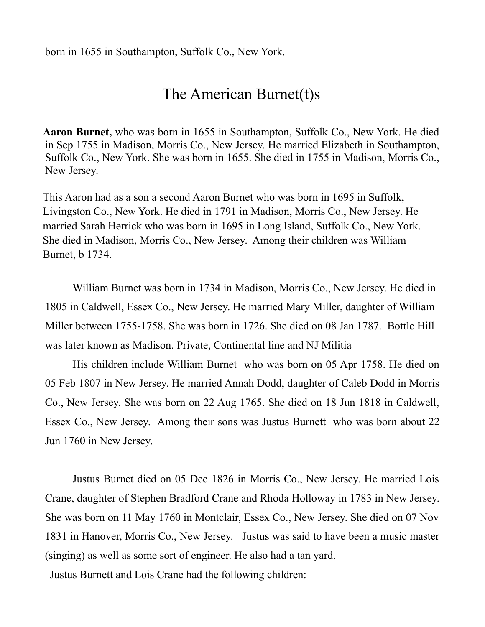## The American Burnet(t)s

**Aaron Burnet,** who was born in 1655 in Southampton, Suffolk Co., New York. He died in Sep 1755 in Madison, Morris Co., New Jersey. He married Elizabeth in Southampton, Suffolk Co., New York. She was born in 1655. She died in 1755 in Madison, Morris Co., New Jersey.

This Aaron had as a son a second Aaron Burnet who was born in 1695 in Suffolk, Livingston Co., New York. He died in 1791 in Madison, Morris Co., New Jersey. He married Sarah Herrick who was born in 1695 in Long Island, Suffolk Co., New York. She died in Madison, Morris Co., New Jersey. Among their children was William Burnet, b 1734.

William Burnet was born in 1734 in Madison, Morris Co., New Jersey. He died in 1805 in Caldwell, Essex Co., New Jersey. He married Mary Miller, daughter of William Miller between 1755-1758. She was born in 1726. She died on 08 Jan 1787. Bottle Hill was later known as Madison. Private, Continental line and NJ Militia

His children include William Burnet who was born on 05 Apr 1758. He died on 05 Feb 1807 in New Jersey. He married Annah Dodd, daughter of Caleb Dodd in Morris Co., New Jersey. She was born on 22 Aug 1765. She died on 18 Jun 1818 in Caldwell, Essex Co., New Jersey. Among their sons was Justus Burnett who was born about 22 Jun 1760 in New Jersey.

Justus Burnet died on 05 Dec 1826 in Morris Co., New Jersey. He married Lois Crane, daughter of Stephen Bradford Crane and Rhoda Holloway in 1783 in New Jersey. She was born on 11 May 1760 in Montclair, Essex Co., New Jersey. She died on 07 Nov 1831 in Hanover, Morris Co., New Jersey. Justus was said to have been a music master (singing) as well as some sort of engineer. He also had a tan yard.

Justus Burnett and Lois Crane had the following children: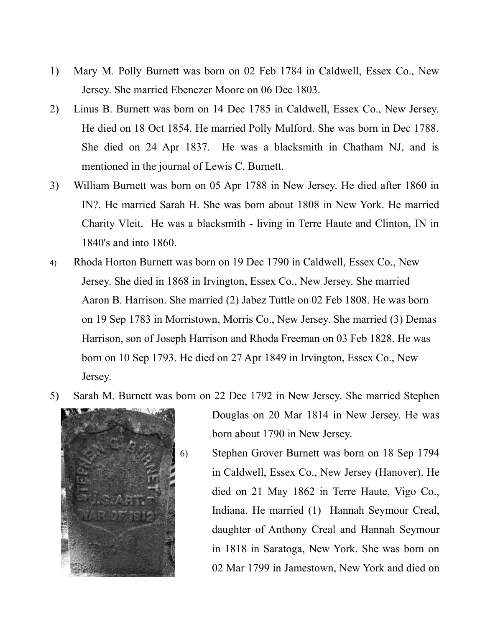- 1) Mary M. Polly Burnett was born on 02 Feb 1784 in Caldwell, Essex Co., New Jersey. She married Ebenezer Moore on 06 Dec 1803.
- 2) Linus B. Burnett was born on 14 Dec 1785 in Caldwell, Essex Co., New Jersey. He died on 18 Oct 1854. He married Polly Mulford. She was born in Dec 1788. She died on 24 Apr 1837. He was a blacksmith in Chatham NJ, and is mentioned in the journal of Lewis C. Burnett.
- 3) William Burnett was born on 05 Apr 1788 in New Jersey. He died after 1860 in IN?. He married Sarah H. She was born about 1808 in New York. He married Charity Vleit. He was a blacksmith - living in Terre Haute and Clinton, IN in 1840's and into 1860.
- 4) Rhoda Horton Burnett was born on 19 Dec 1790 in Caldwell, Essex Co., New Jersey. She died in 1868 in Irvington, Essex Co., New Jersey. She married Aaron B. Harrison. She married (2) Jabez Tuttle on 02 Feb 1808. He was born on 19 Sep 1783 in Morristown, Morris Co., New Jersey. She married (3) Demas Harrison, son of Joseph Harrison and Rhoda Freeman on 03 Feb 1828. He was born on 10 Sep 1793. He died on 27 Apr 1849 in Irvington, Essex Co., New Jersey.
- 5) Sarah M. Burnett was born on 22 Dec 1792 in New Jersey. She married Stephen



Douglas on 20 Mar 1814 in New Jersey. He was born about 1790 in New Jersey.

6) Stephen Grover Burnett was born on 18 Sep 1794 in Caldwell, Essex Co., New Jersey (Hanover). He died on 21 May 1862 in Terre Haute, Vigo Co., Indiana. He married (1) Hannah Seymour Creal, daughter of Anthony Creal and Hannah Seymour in 1818 in Saratoga, New York. She was born on 02 Mar 1799 in Jamestown, New York and died on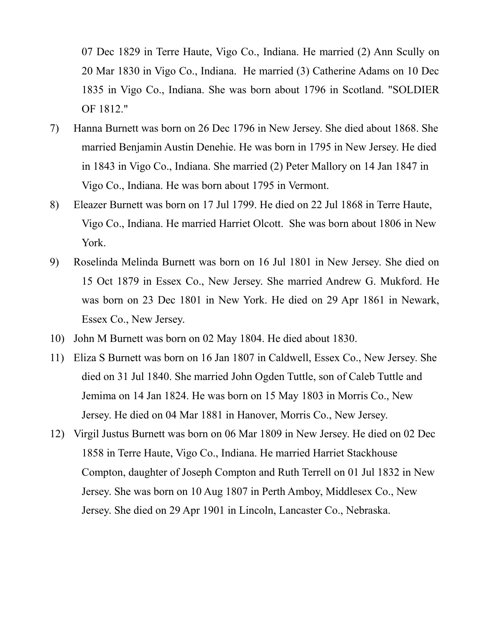07 Dec 1829 in Terre Haute, Vigo Co., Indiana. He married (2) Ann Scully on 20 Mar 1830 in Vigo Co., Indiana. He married (3) Catherine Adams on 10 Dec 1835 in Vigo Co., Indiana. She was born about 1796 in Scotland. "SOLDIER OF 1812."

- 7) Hanna Burnett was born on 26 Dec 1796 in New Jersey. She died about 1868. She married Benjamin Austin Denehie. He was born in 1795 in New Jersey. He died in 1843 in Vigo Co., Indiana. She married (2) Peter Mallory on 14 Jan 1847 in Vigo Co., Indiana. He was born about 1795 in Vermont.
- 8) Eleazer Burnett was born on 17 Jul 1799. He died on 22 Jul 1868 in Terre Haute, Vigo Co., Indiana. He married Harriet Olcott. She was born about 1806 in New York.
- 9) Roselinda Melinda Burnett was born on 16 Jul 1801 in New Jersey. She died on 15 Oct 1879 in Essex Co., New Jersey. She married Andrew G. Mukford. He was born on 23 Dec 1801 in New York. He died on 29 Apr 1861 in Newark, Essex Co., New Jersey.
- 10) John M Burnett was born on 02 May 1804. He died about 1830.
- 11) Eliza S Burnett was born on 16 Jan 1807 in Caldwell, Essex Co., New Jersey. She died on 31 Jul 1840. She married John Ogden Tuttle, son of Caleb Tuttle and Jemima on 14 Jan 1824. He was born on 15 May 1803 in Morris Co., New Jersey. He died on 04 Mar 1881 in Hanover, Morris Co., New Jersey.
- 12) Virgil Justus Burnett was born on 06 Mar 1809 in New Jersey. He died on 02 Dec 1858 in Terre Haute, Vigo Co., Indiana. He married Harriet Stackhouse Compton, daughter of Joseph Compton and Ruth Terrell on 01 Jul 1832 in New Jersey. She was born on 10 Aug 1807 in Perth Amboy, Middlesex Co., New Jersey. She died on 29 Apr 1901 in Lincoln, Lancaster Co., Nebraska.